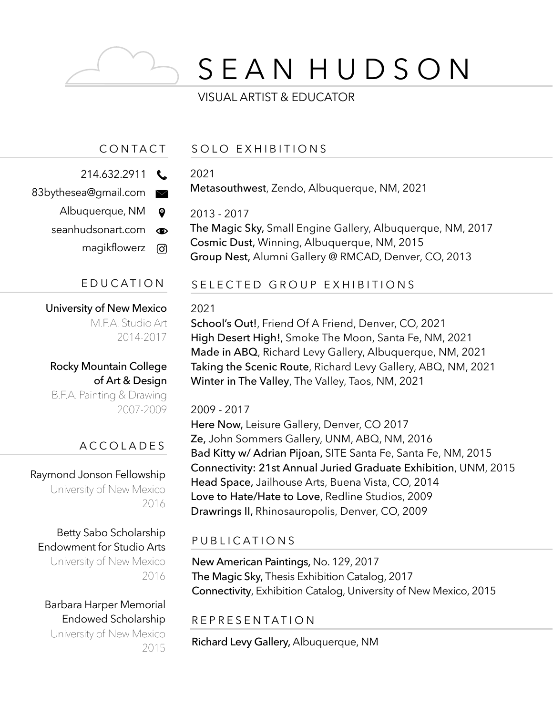# S E A N H U D S O N

# VISUAL ARTIST & EDUCATOR

# CONTACT

- 214.632.2911
- 83bythesea@gmail.com  $\bowtie$ 
	- Albuquerque, NM  $\bullet$
	- seanhudsonart.com  $\bullet$ 
		- magikflowerz <u>ଟ</u>

# University of New Mexico

M.F.A. Studio Art 2014-2017

Rocky Mountain College of Art & Design B.F.A. Painting & Drawing 2007-2009

# ACCOLADES

Raymond Jonson Fellowship University of New Mexico 2016

# Betty Sabo Scholarship Endowment for Studio Arts

University of New Mexico 2016

#### Barbara Harper Memorial Endowed Scholarship University of New Mexico 2015

#### SOLO EXHIBITIONS

#### 2021

Metasouthwest, Zendo, Albuquerque, NM, 2021

#### 2013 - 2017

The Magic Sky, Small Engine Gallery, Albuquerque, NM, 2017 Cosmic Dust, Winning, Albuquerque, NM, 2015 Group Nest, Alumni Gallery @ RMCAD, Denver, CO, 2013

#### EDUCATION SELECTED GROUP EXHIBITIONS

#### 2021

School's Out!, Friend Of A Friend, Denver, CO, 2021 High Desert High!, Smoke The Moon, Santa Fe, NM, 2021 Made in ABQ, Richard Levy Gallery, Albuquerque, NM, 2021 Taking the Scenic Route, Richard Levy Gallery, ABQ, NM, 2021 Winter in The Valley, The Valley, Taos, NM, 2021

#### 2009 - 2017

Here Now, Leisure Gallery, Denver, CO 2017 Ze, John Sommers Gallery, UNM, ABQ, NM, 2016 Bad Kitty w/ Adrian Pijoan, SITE Santa Fe, Santa Fe, NM, 2015 Connectivity: 21st Annual Juried Graduate Exhibition, UNM, 2015 Head Space, Jailhouse Arts, Buena Vista, CO, 2014 Love to Hate/Hate to Love, Redline Studios, 2009 Drawrings II, Rhinosauropolis, Denver, CO, 2009

# PUBLICATIONS

New American Paintings, No. 129, 2017 The Magic Sky, Thesis Exhibition Catalog, 2017 Connectivity, Exhibition Catalog, University of New Mexico, 2015

#### REPRESENTATION

Richard Levy Gallery, Albuquerque, NM